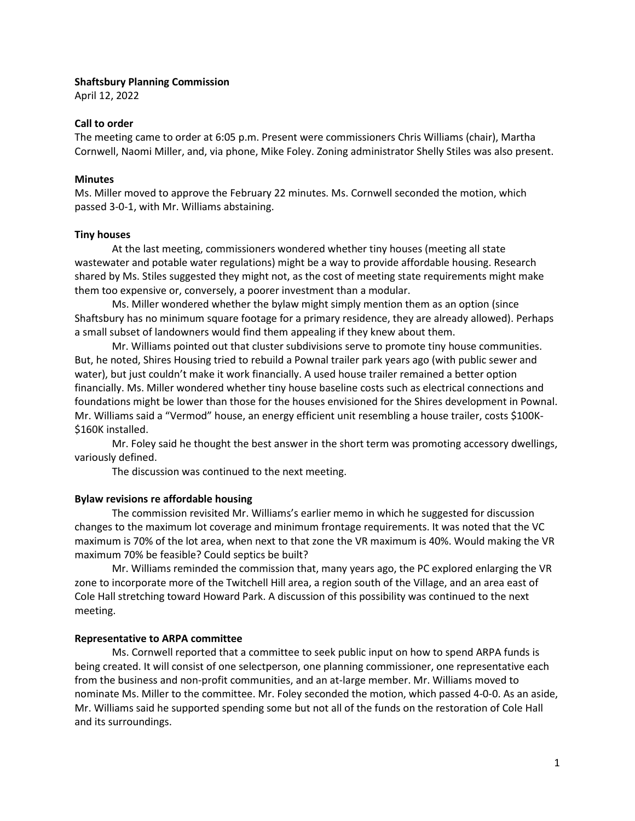#### **Shaftsbury Planning Commission**

April 12, 2022

### **Call to order**

The meeting came to order at 6:05 p.m. Present were commissioners Chris Williams (chair), Martha Cornwell, Naomi Miller, and, via phone, Mike Foley. Zoning administrator Shelly Stiles was also present.

### **Minutes**

Ms. Miller moved to approve the February 22 minutes. Ms. Cornwell seconded the motion, which passed 3-0-1, with Mr. Williams abstaining.

### **Tiny houses**

At the last meeting, commissioners wondered whether tiny houses (meeting all state wastewater and potable water regulations) might be a way to provide affordable housing. Research shared by Ms. Stiles suggested they might not, as the cost of meeting state requirements might make them too expensive or, conversely, a poorer investment than a modular.

Ms. Miller wondered whether the bylaw might simply mention them as an option (since Shaftsbury has no minimum square footage for a primary residence, they are already allowed). Perhaps a small subset of landowners would find them appealing if they knew about them.

Mr. Williams pointed out that cluster subdivisions serve to promote tiny house communities. But, he noted, Shires Housing tried to rebuild a Pownal trailer park years ago (with public sewer and water), but just couldn't make it work financially. A used house trailer remained a better option financially. Ms. Miller wondered whether tiny house baseline costs such as electrical connections and foundations might be lower than those for the houses envisioned for the Shires development in Pownal. Mr. Williams said a "Vermod" house, an energy efficient unit resembling a house trailer, costs \$100K- \$160K installed.

Mr. Foley said he thought the best answer in the short term was promoting accessory dwellings, variously defined.

The discussion was continued to the next meeting.

# **Bylaw revisions re affordable housing**

The commission revisited Mr. Williams's earlier memo in which he suggested for discussion changes to the maximum lot coverage and minimum frontage requirements. It was noted that the VC maximum is 70% of the lot area, when next to that zone the VR maximum is 40%. Would making the VR maximum 70% be feasible? Could septics be built?

Mr. Williams reminded the commission that, many years ago, the PC explored enlarging the VR zone to incorporate more of the Twitchell Hill area, a region south of the Village, and an area east of Cole Hall stretching toward Howard Park. A discussion of this possibility was continued to the next meeting.

# **Representative to ARPA committee**

Ms. Cornwell reported that a committee to seek public input on how to spend ARPA funds is being created. It will consist of one selectperson, one planning commissioner, one representative each from the business and non-profit communities, and an at-large member. Mr. Williams moved to nominate Ms. Miller to the committee. Mr. Foley seconded the motion, which passed 4-0-0. As an aside, Mr. Williams said he supported spending some but not all of the funds on the restoration of Cole Hall and its surroundings.